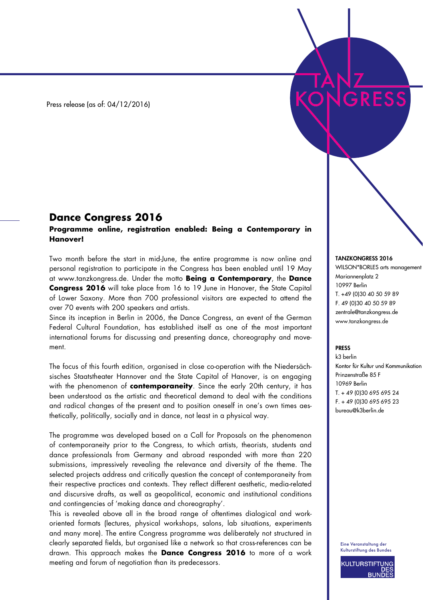Press release (as of: 04/12/2016)

## **Dance Congress 2016**

## **Programme online, registration enabled: Being a Contemporary in Hanover!**

Two month before the start in mid-June, the entire programme is now online and personal registration to participate in the Congress has been enabled until 19 May at www.tanzkongress.de. Under the motto **Being a Contemporary**, the **Dance Congress 2016** will take place from 16 to 19 June in Hanover, the State Capital of Lower Saxony. More than 700 professional visitors are expected to attend the over 70 events with 200 speakers and artists.

Since its inception in Berlin in 2006, the Dance Congress, an event of the German Federal Cultural Foundation, has established itself as one of the most important international forums for discussing and presenting dance, choreography and movement.

The focus of this fourth edition, organised in close co-operation with the Niedersächsisches Staatstheater Hannover and the State Capital of Hanover, is on engaging with the phenomenon of **contemporaneity**. Since the early 20th century, it has been understood as the artistic and theoretical demand to deal with the conditions and radical changes of the present and to position oneself in one's own times aesthetically, politically, socially and in dance, not least in a physical way.

The programme was developed based on a Call for Proposals on the phenomenon of contemporaneity prior to the Congress, to which artists, theorists, students and dance professionals from Germany and abroad responded with more than 220 submissions, impressively revealing the relevance and diversity of the theme. The selected projects address and critically question the concept of contemporaneity from their respective practices and contexts. They reflect different aesthetic, media-related and discursive drafts, as well as geopolitical, economic and institutional conditions and contingencies of 'making dance and choreography'.

This is revealed above all in the broad range of oftentimes dialogical and workoriented formats (lectures, physical workshops, salons, lab situations, experiments and many more). The entire Congress programme was deliberately not structured in clearly separated fields, but organised like a network so that cross-references can be drawn. This approach makes the **Dance Congress 2016** to more of a work meeting and forum of negotiation than its predecessors.

## TANZKONGRESS 2016

WILSON\*BORLES arts management Mariannenplatz 2 10997 Berlin T. +49 (0)30 40 50 59 89 F. 49 (0)30 40 50 59 89 zentrale@tanzkongress.de www.tanzkongress.de

## PRESS

k3 berlin Kontor für Kultur und Kommunikation Prinzenstraße 85 F 10969 Berlin T. + 49 (0)30 695 695 24 F. + 49 (0)30 695 695 23 bureau@k3berlin.de

Eine Veranstaltung der Kulturstiftung des Bundes

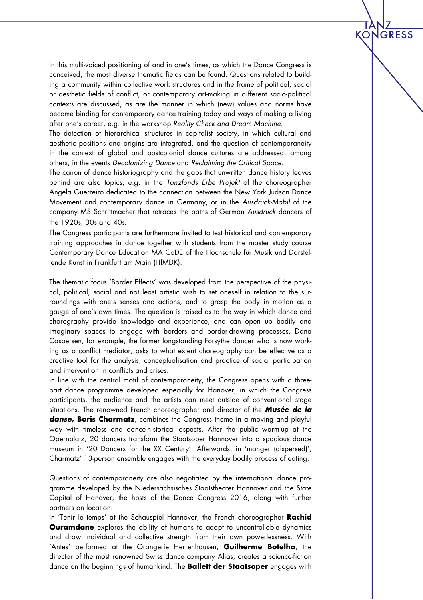In this multi-voiced positioning of and in one's times, as which the Dance Congress is conceived, the most diverse thematic fields can be found. Questions related to building a community within collective work structures and in the frame of political, social or aesthetic fields of conflict, or contemporary art-making in different socio-political contexts are discussed, as are the manner in which (new) values and norms have become binding for contemporary dance training today and ways of making a living after one's career, e.g. in the workshop *Reality Check and Dream Machine*.

**KON** 

**JGRESS** 

The detection of hierarchical structures in capitalist society, in which cultural and aesthetic positions and origins are integrated, and the question of contemporaneity in the context of global and postcolonial dance cultures are addressed, among others, in the events *Decolonizing Dance* and *Reclaiming the Critical Space*.

The canon of dance historiography and the gaps that unwritten dance history leaves behind are also topics, e.g. in the *Tanzfonds Erbe Projekt* of the choreographer Angela Guerreiro dedicated to the connection between the New York Judson Dance Movement and contemporary dance in Germany, or in the *Ausdruck-Mobil* of the company MS Schrittmacher that retraces the paths of German *Ausdruck* dancers of the 1920s, 30s and 40s. 

The Congress participants are furthermore invited to test historical and contemporary training approaches in dance together with students from the master study course Contemporary Dance Education MA CoDE of the Hochschule für Musik und Darstellende Kunst in Frankfurt am Main (HfMDK).

The thematic focus 'Border Effects' was developed from the perspective of the physical, political, social and not least artistic wish to set oneself in relation to the surroundings with one's senses and actions, and to grasp the body in motion as a gauge of one's own times. The question is raised as to the way in which dance and chorography provide knowledge and experience, and can open up bodily and imaginary spaces to engage with borders and border-drawing processes. Dana Caspersen, for example, the former longstanding Forsythe dancer who is now working as a conflict mediator, asks to what extent choreography can be effective as a creative tool for the analysis, conceptualisation and practice of social participation and intervention in conflicts and crises.

In line with the central motif of contemporaneity, the Congress opens with a threepart dance programme developed especially for Hanover, in which the Congress participants, the audience and the artists can meet outside of conventional stage situations. The renowned French choreographer and director of the *Musée de la danse***, Boris Charmatz**, combines the Congress theme in a moving and playful way with timeless and dance-historical aspects. After the public warm-up at the Opernplatz, 20 dancers transform the Staatsoper Hannover into a spacious dance museum in '20 Dancers for the XX Century'. Afterwards, in 'manger (dispersed)', Charmatz' 13-person ensemble engages with the everyday bodily process of eating.

Questions of contemporaneity are also negotiated by the international dance programme developed by the Niedersächsisches Staatstheater Hannover and the State Capital of Hanover, the hosts of the Dance Congress 2016, along with further partners on location.

In 'Tenir le temps' at the Schauspiel Hannover, the French choreographer **Rachid Ouramdane** explores the ability of humans to adapt to uncontrollable dynamics and draw individual and collective strength from their own powerlessness. With 'Antes' performed at the Orangerie Herrenhausen, **Guilherme Botelho**, the director of the most renowned Swiss dance company Alias, creates a science-fiction dance on the beginnings of humankind. The **Ballett der Staatsoper** engages with